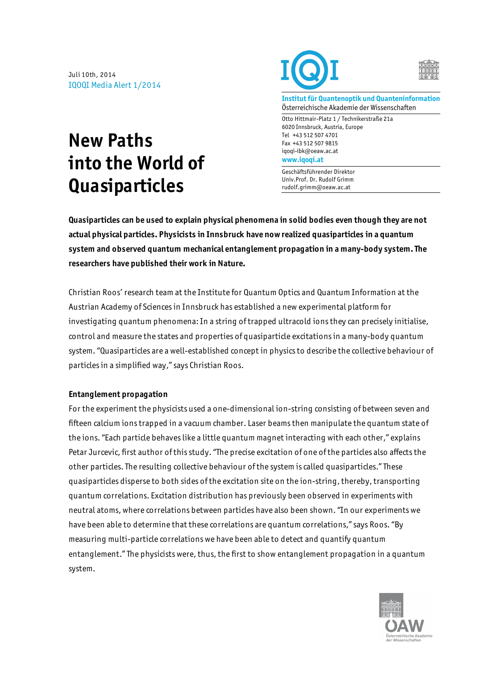Juli 10th, 2014 IQOQI Media Alert 1/2014

## **New Paths into the World of Quasiparticles**





**Institut für Quantenoptik und Quanteninformation** Österreichische Akademie der Wissenschaften

Otto Hittmair-Platz 1 / Technikerstraße 21a 6020 Innsbruck, Austria, Europe Tel +43 512 507 4701 Fax +43 512 507 9815 iqoqi-ibk@oeaw.ac.at **www.iqoqi.at**

Geschäftsführender Direktor Univ.Prof. Dr. Rudolf Grimm rudolf.grimm@oeaw.ac.at

**Quasiparticles can be used to explain physical phenomena in solid bodies even though they are not actual physical particles. Physicists in Innsbruck have now realized quasiparticles in a quantum system and observed quantum mechanical entanglement propagation in a many-body system. The researchers have published their work in Nature.** 

Christian Roos' research team at the Institute for Quantum Optics and Quantum Information at the Austrian Academy of Sciences in Innsbruck has established a new experimental platform for investigating quantum phenomena: In a string of trapped ultracold ions they can precisely initialise, control and measure the states and properties of quasiparticle excitations in a many-body quantum system. "Quasiparticles are a well-established concept in physics to describe the collective behaviour of particles in a simplified way," says Christian Roos.

## **Entanglement propagation**

For the experiment the physicists used a one-dimensional ion-string consisting of between seven and fifteen calcium ions trapped in a vacuum chamber. Laser beams then manipulate the quantum state of the ions. "Each particle behaves like a little quantum magnet interacting with each other," explains Petar Jurcevic, first author of this study. "The precise excitation of one of the particles also affects the other particles. The resulting collective behaviour of the system is called quasiparticles." These quasiparticles disperse to both sides of the excitation site on the ion-string, thereby, transporting quantum correlations. Excitation distribution has previously been observed in experiments with neutral atoms, where correlations between particles have also been shown. "In our experiments we have been able to determine that these correlations are quantum correlations," says Roos. "By measuring multi-particle correlations we have been able to detect and quantify quantum entanglement." The physicists were, thus, the first to show entanglement propagation in a quantum system.